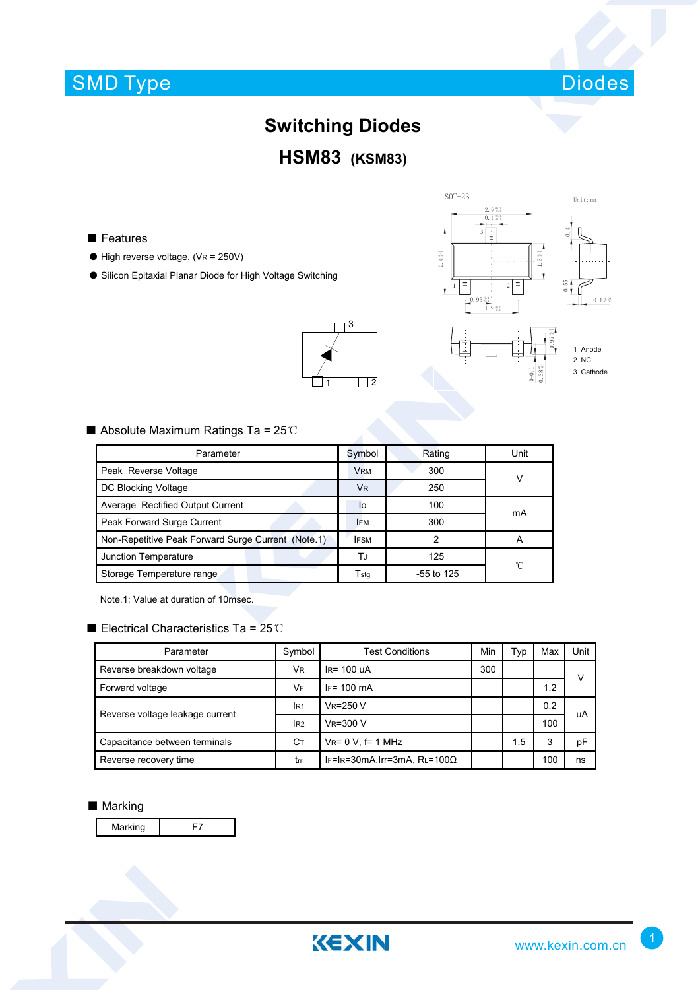# SMD Type



### **Switching Diodes**

### **HSM83 (KSM83)**

1  $\Box$ 2

3

■ Features

- $\bullet$  High reverse voltage. (VR = 250V)
- Silicon Epitaxial Planar Diode for High Voltage Switching



■ Absolute Maximum Ratings Ta = 25℃

| Parameter                                          | Symbol      | Rating       | Unit |  |
|----------------------------------------------------|-------------|--------------|------|--|
| Peak Reverse Voltage                               | <b>VRM</b>  | 300          | V    |  |
| DC Blocking Voltage                                | <b>VR</b>   | 250          |      |  |
| Average Rectified Output Current                   | lo          | 100          | mA   |  |
| Peak Forward Surge Current                         | <b>IFM</b>  | 300          |      |  |
| Non-Repetitive Peak Forward Surge Current (Note.1) | <b>IFSM</b> | 2            | А    |  |
| Junction Temperature                               | ТJ          | 125          | °C   |  |
| Storage Temperature range                          | Tstq        | $-55$ to 125 |      |  |

Note.1: Value at duration of 10msec.

#### ■ Electrical Characteristics Ta = 25℃

| Parameter                       | Symbol          | Test Conditions                      | Min | Typ | Max | Unit |  |
|---------------------------------|-----------------|--------------------------------------|-----|-----|-----|------|--|
| Reverse breakdown voltage       | VR              | $IR = 100uA$                         | 300 |     |     | ν    |  |
| Forward voltage                 | VF              | $IF = 100 \text{ mA}$                |     |     | 1.2 |      |  |
| Reverse voltage leakage current | IR <sub>1</sub> | $V_R = 250 V$                        |     |     | 0.2 | uA   |  |
|                                 | IR <sub>2</sub> | $V_R = 300 V$                        |     |     | 100 |      |  |
| Capacitance between terminals   | Cт              | $V_{R} = 0 V$ , f= 1 MHz             |     | 1.5 | 3   | рF   |  |
| Reverse recovery time           | trr             | IF=IR=30mA, Irr=3mA, RL=100 $\Omega$ |     |     | 100 | ns   |  |

#### ■ Marking

Marking | F7

KEXIN